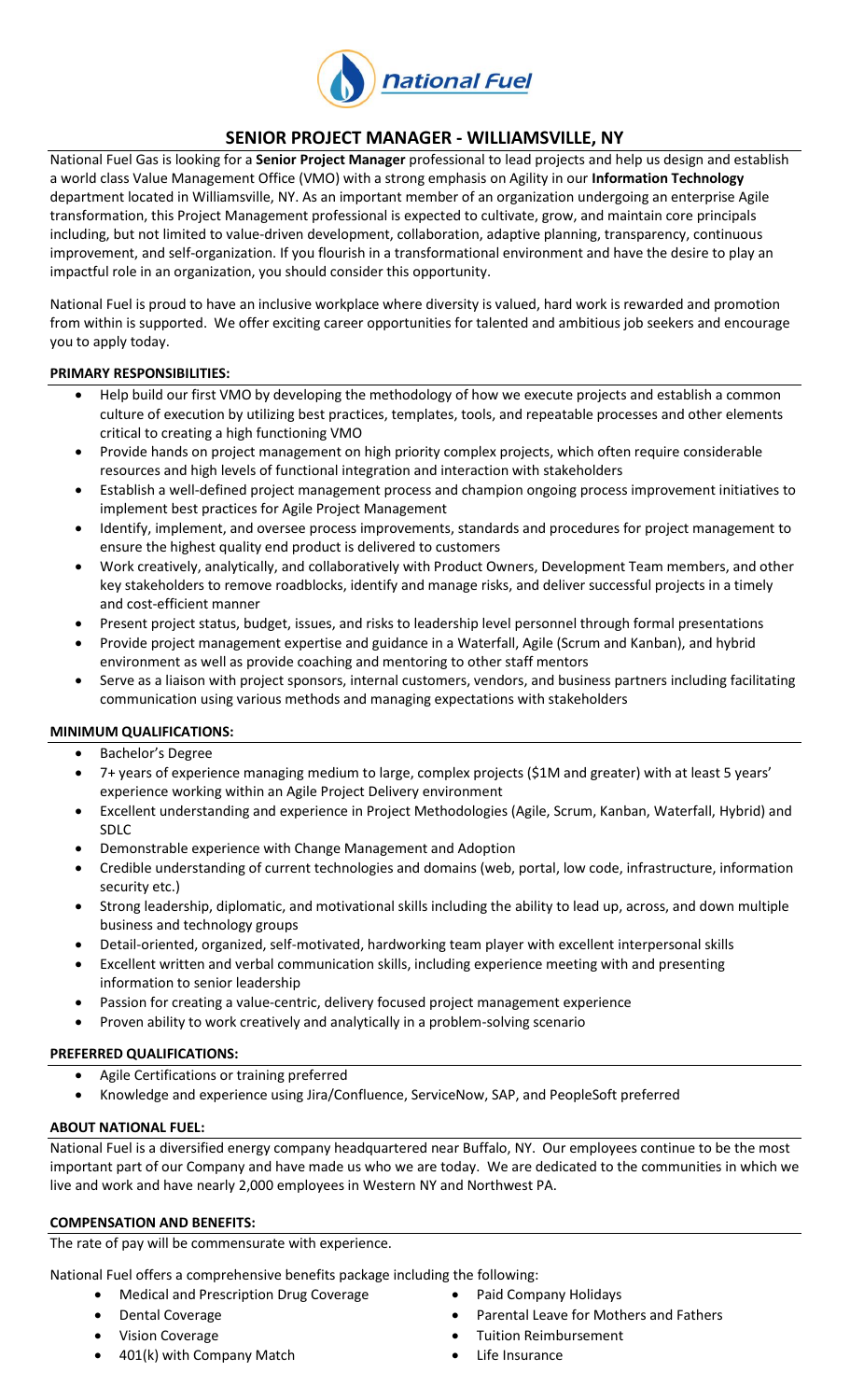

# **SENIOR PROJECT MANAGER - WILLIAMSVILLE, NY**

National Fuel Gas is looking for a **Senior Project Manager** professional to lead projects and help us design and establish a world class Value Management Office (VMO) with a strong emphasis on Agility in our **Information Technology** department located in Williamsville, NY. As an important member of an organization undergoing an enterprise Agile transformation, this Project Management professional is expected to cultivate, grow, and maintain core principals including, but not limited to value-driven development, collaboration, adaptive planning, transparency, continuous improvement, and self-organization. If you flourish in a transformational environment and have the desire to play an impactful role in an organization, you should consider this opportunity.

National Fuel is proud to have an inclusive workplace where diversity is valued, hard work is rewarded and promotion from within is supported. We offer exciting career opportunities for talented and ambitious job seekers and encourage you to apply today.

#### **PRIMARY RESPONSIBILITIES:**

- Help build our first VMO by developing the methodology of how we execute projects and establish a common culture of execution by utilizing best practices, templates, tools, and repeatable processes and other elements critical to creating a high functioning VMO
- Provide hands on project management on high priority complex projects, which often require considerable resources and high levels of functional integration and interaction with stakeholders
- Establish a well-defined project management process and champion ongoing process improvement initiatives to implement best practices for Agile Project Management
- Identify, implement, and oversee process improvements, standards and procedures for project management to ensure the highest quality end product is delivered to customers
- Work creatively, analytically, and collaboratively with Product Owners, Development Team members, and other key stakeholders to remove roadblocks, identify and manage risks, and deliver successful projects in a timely and cost-efficient manner
- Present project status, budget, issues, and risks to leadership level personnel through formal presentations
- Provide project management expertise and guidance in a Waterfall, Agile (Scrum and Kanban), and hybrid environment as well as provide coaching and mentoring to other staff mentors
- Serve as a liaison with project sponsors, internal customers, vendors, and business partners including facilitating communication using various methods and managing expectations with stakeholders

#### **MINIMUM QUALIFICATIONS:**

- Bachelor's Degree
- 7+ years of experience managing medium to large, complex projects (\$1M and greater) with at least 5 years' experience working within an Agile Project Delivery environment
- Excellent understanding and experience in Project Methodologies (Agile, Scrum, Kanban, Waterfall, Hybrid) and SDLC
- Demonstrable experience with Change Management and Adoption
- Credible understanding of current technologies and domains (web, portal, low code, infrastructure, information security etc.)
- Strong leadership, diplomatic, and motivational skills including the ability to lead up, across, and down multiple business and technology groups
- Detail-oriented, organized, self-motivated, hardworking team player with excellent interpersonal skills
- Excellent written and verbal communication skills, including experience meeting with and presenting information to senior leadership
- Passion for creating a value-centric, delivery focused project management experience
- Proven ability to work creatively and analytically in a problem-solving scenario

#### **PREFERRED QUALIFICATIONS:**

- Agile Certifications or training preferred
- Knowledge and experience using Jira/Confluence, ServiceNow, SAP, and PeopleSoft preferred

#### **ABOUT NATIONAL FUEL:**

National Fuel is a diversified energy company headquartered near Buffalo, NY. Our employees continue to be the most important part of our Company and have made us who we are today. We are dedicated to the communities in which we live and work and have nearly 2,000 employees in Western NY and Northwest PA.

#### **COMPENSATION AND BENEFITS:**

The rate of pay will be commensurate with experience.

National Fuel offers a comprehensive benefits package including the following:

- Medical and Prescription Drug Coverage **Company Holidays Company Holidays**
- 
- 
- 401(k) with Company Match **Came Company Match Company Match Company Match Life Insurance**
- 
- Dental Coverage **Parental Leave for Mothers and Fathers Parental Leave for Mothers and Fathers**
- Vision Coverage **Tuition Reimbursement** 
	-